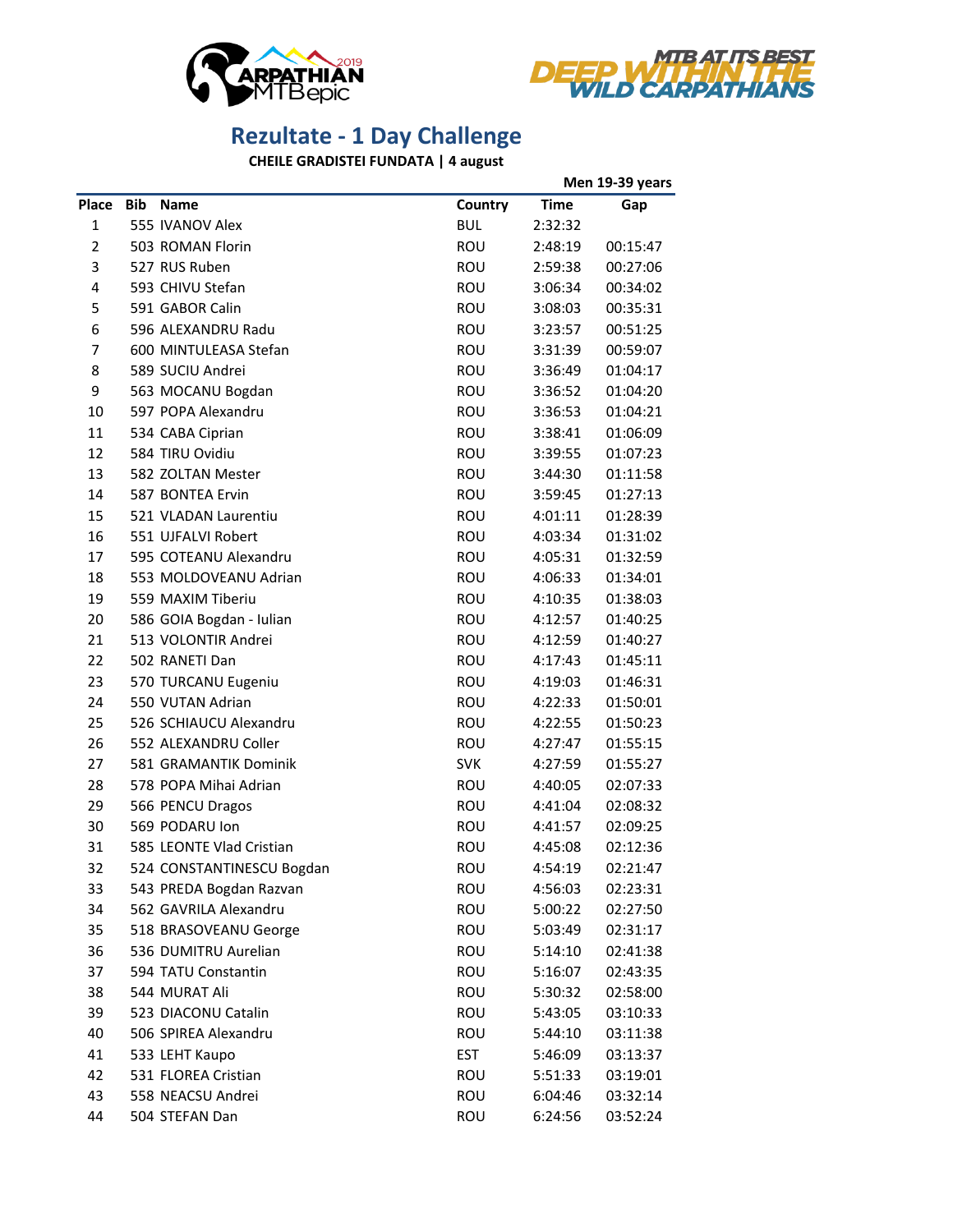



## **Rezultate - 1 Day Challenge**

**CHEILE GRADISTEI FUNDATA | 4 august**

|                |            |                           |            | Men 19-39 years |          |
|----------------|------------|---------------------------|------------|-----------------|----------|
| Place          | <b>Bib</b> | <b>Name</b>               | Country    | <b>Time</b>     | Gap      |
| $\mathbf{1}$   |            | 555 IVANOV Alex           | <b>BUL</b> | 2:32:32         |          |
| $\overline{2}$ |            | 503 ROMAN Florin          | <b>ROU</b> | 2:48:19         | 00:15:47 |
| 3              |            | 527 RUS Ruben             | ROU        | 2:59:38         | 00:27:06 |
| 4              |            | 593 CHIVU Stefan          | <b>ROU</b> | 3:06:34         | 00:34:02 |
| 5              |            | 591 GABOR Calin           | <b>ROU</b> | 3:08:03         | 00:35:31 |
| 6              |            | 596 ALEXANDRU Radu        | ROU        | 3:23:57         | 00:51:25 |
| 7              |            | 600 MINTULEASA Stefan     | ROU        | 3:31:39         | 00:59:07 |
| 8              |            | 589 SUCIU Andrei          | <b>ROU</b> | 3:36:49         | 01:04:17 |
| 9              |            | 563 MOCANU Bogdan         | ROU        | 3:36:52         | 01:04:20 |
| 10             |            | 597 POPA Alexandru        | ROU        | 3:36:53         | 01:04:21 |
| 11             |            | 534 CABA Ciprian          | ROU        | 3:38:41         | 01:06:09 |
| 12             |            | 584 TIRU Ovidiu           | ROU        | 3:39:55         | 01:07:23 |
| 13             |            | 582 ZOLTAN Mester         | <b>ROU</b> | 3:44:30         | 01:11:58 |
| 14             |            | 587 BONTEA Ervin          | <b>ROU</b> | 3:59:45         | 01:27:13 |
| 15             |            | 521 VLADAN Laurentiu      | <b>ROU</b> | 4:01:11         | 01:28:39 |
| 16             |            | 551 UJFALVI Robert        | <b>ROU</b> | 4:03:34         | 01:31:02 |
| 17             |            | 595 COTEANU Alexandru     | <b>ROU</b> | 4:05:31         | 01:32:59 |
| 18             |            | 553 MOLDOVEANU Adrian     | <b>ROU</b> | 4:06:33         | 01:34:01 |
| 19             |            | 559 MAXIM Tiberiu         | ROU        | 4:10:35         | 01:38:03 |
| 20             |            | 586 GOIA Bogdan - Iulian  | ROU        | 4:12:57         | 01:40:25 |
| 21             |            | 513 VOLONTIR Andrei       | ROU        | 4:12:59         | 01:40:27 |
| 22             |            | 502 RANETI Dan            | <b>ROU</b> | 4:17:43         | 01:45:11 |
| 23             |            | 570 TURCANU Eugeniu       | <b>ROU</b> | 4:19:03         | 01:46:31 |
| 24             |            | 550 VUTAN Adrian          | <b>ROU</b> | 4:22:33         | 01:50:01 |
| 25             |            | 526 SCHIAUCU Alexandru    | <b>ROU</b> | 4:22:55         | 01:50:23 |
| 26             |            | 552 ALEXANDRU Coller      | <b>ROU</b> | 4:27:47         | 01:55:15 |
| 27             |            | 581 GRAMANTIK Dominik     | <b>SVK</b> | 4:27:59         | 01:55:27 |
| 28             |            | 578 POPA Mihai Adrian     | <b>ROU</b> | 4:40:05         | 02:07:33 |
| 29             |            | 566 PENCU Dragos          | ROU        | 4:41:04         | 02:08:32 |
| 30             |            | 569 PODARU Ion            | ROU        | 4:41:57         | 02:09:25 |
| 31             |            | 585 LEONTE Vlad Cristian  | ROU        | 4:45:08         | 02:12:36 |
| 32             |            | 524 CONSTANTINESCU Bogdan | ROU        | 4:54:19         | 02:21:47 |
| 33             |            | 543 PREDA Bogdan Razvan   | <b>ROU</b> | 4:56:03         | 02:23:31 |
| 34             |            | 562 GAVRILA Alexandru     | <b>ROU</b> | 5:00:22         | 02:27:50 |
| 35             |            | 518 BRASOVEANU George     | <b>ROU</b> | 5:03:49         | 02:31:17 |
| 36             |            | 536 DUMITRU Aurelian      | ROU        | 5:14:10         | 02:41:38 |
| 37             |            | 594 TATU Constantin       | ROU        | 5:16:07         | 02:43:35 |
| 38             |            | 544 MURAT Ali             | <b>ROU</b> | 5:30:32         | 02:58:00 |
| 39             |            | 523 DIACONU Catalin       | ROU        | 5:43:05         | 03:10:33 |
| 40             |            | 506 SPIREA Alexandru      | ROU        | 5:44:10         | 03:11:38 |
| 41             |            | 533 LEHT Kaupo            | <b>EST</b> | 5:46:09         | 03:13:37 |
| 42             |            | 531 FLOREA Cristian       | <b>ROU</b> | 5:51:33         | 03:19:01 |
| 43             |            | 558 NEACSU Andrei         | <b>ROU</b> | 6:04:46         | 03:32:14 |
| 44             |            | 504 STEFAN Dan            | ROU        | 6:24:56         | 03:52:24 |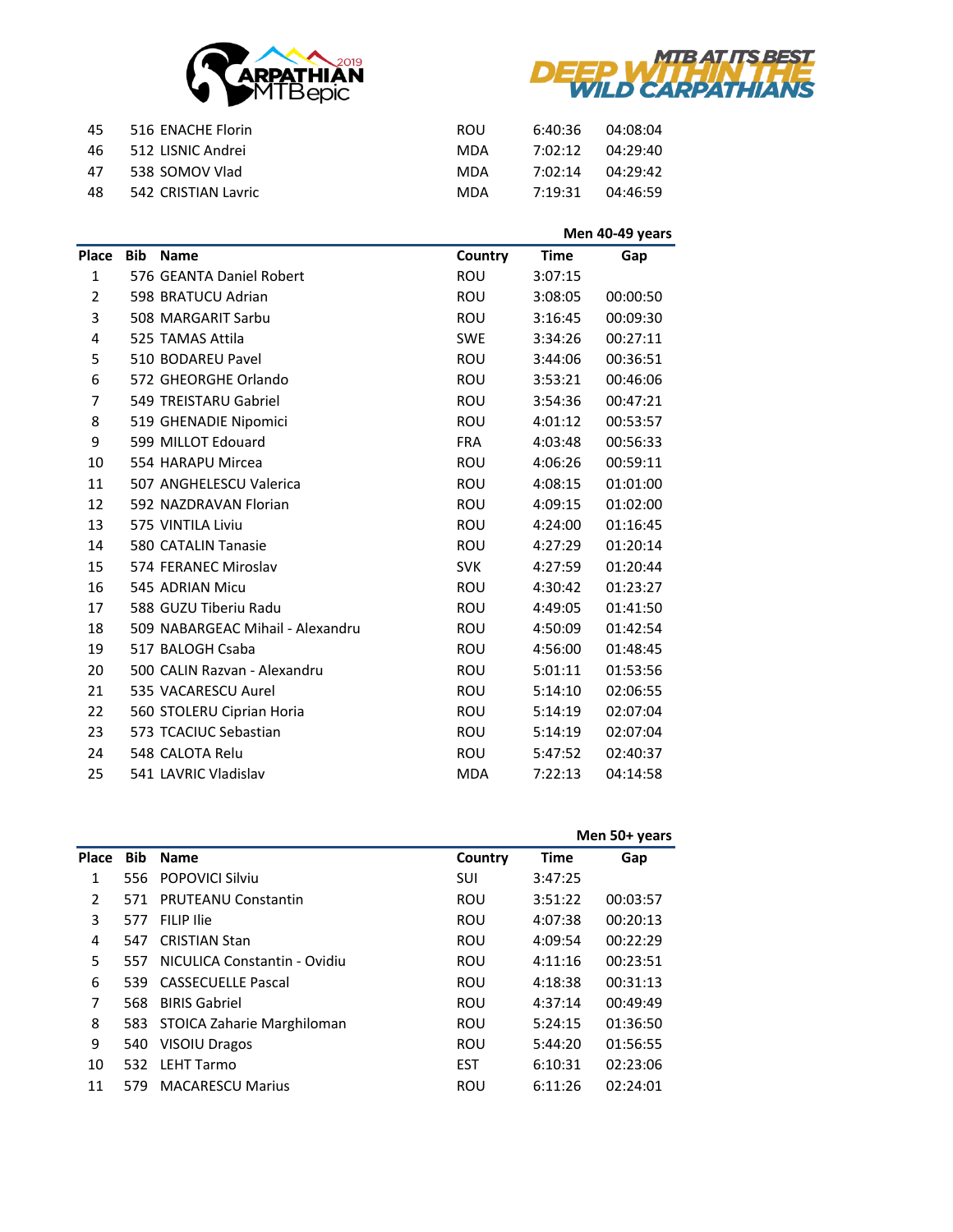



| 45  | 516 ENACHE Florin   | <b>ROU</b> | 6:40:36 | 04:08:04 |
|-----|---------------------|------------|---------|----------|
| -46 | 512 LISNIC Andrei   | MDA        | 7:02:12 | 04:29:40 |
| 47  | 538 SOMOV Vlad      | MDA        | 7:02:14 | 04:29:42 |
| 48  | 542 CRISTIAN Lavric | MDA        | 7.19.31 | 04:46:59 |

|                |            |                                  |            | Men 40-49 years |          |  |
|----------------|------------|----------------------------------|------------|-----------------|----------|--|
| Place          | <b>Bib</b> | <b>Name</b>                      | Country    | <b>Time</b>     | Gap      |  |
| 1              |            | 576 GEANTA Daniel Robert         | <b>ROU</b> | 3:07:15         |          |  |
| $\overline{2}$ |            | 598 BRATUCU Adrian               | <b>ROU</b> | 3:08:05         | 00:00:50 |  |
| 3              |            | 508 MARGARIT Sarbu               | <b>ROU</b> | 3:16:45         | 00:09:30 |  |
| 4              |            | 525 TAMAS Attila                 | <b>SWE</b> | 3:34:26         | 00:27:11 |  |
| 5              |            | 510 BODAREU Pavel                | <b>ROU</b> | 3:44:06         | 00:36:51 |  |
| 6              |            | 572 GHEORGHE Orlando             | <b>ROU</b> | 3:53:21         | 00:46:06 |  |
| $\overline{7}$ |            | 549 TREISTARU Gabriel            | <b>ROU</b> | 3:54:36         | 00:47:21 |  |
| 8              |            | 519 GHENADIE Nipomici            | <b>ROU</b> | 4:01:12         | 00:53:57 |  |
| 9              |            | 599 MILLOT Edouard               | <b>FRA</b> | 4:03:48         | 00:56:33 |  |
| 10             |            | 554 HARAPU Mircea                | <b>ROU</b> | 4:06:26         | 00:59:11 |  |
| 11             |            | 507 ANGHELESCU Valerica          | <b>ROU</b> | 4:08:15         | 01:01:00 |  |
| 12             |            | 592 NAZDRAVAN Florian            | <b>ROU</b> | 4:09:15         | 01:02:00 |  |
| 13             |            | 575 VINTILA Liviu                | <b>ROU</b> | 4:24:00         | 01:16:45 |  |
| 14             |            | 580 CATALIN Tanasie              | <b>ROU</b> | 4:27:29         | 01:20:14 |  |
| 15             |            | 574 FERANEC Miroslav             | <b>SVK</b> | 4:27:59         | 01:20:44 |  |
| 16             |            | 545 ADRIAN Micu                  | <b>ROU</b> | 4:30:42         | 01:23:27 |  |
| 17             |            | 588 GUZU Tiberiu Radu            | <b>ROU</b> | 4:49:05         | 01:41:50 |  |
| 18             |            | 509 NABARGEAC Mihail - Alexandru | <b>ROU</b> | 4:50:09         | 01:42:54 |  |
| 19             |            | 517 BALOGH Csaba                 | <b>ROU</b> | 4:56:00         | 01:48:45 |  |
| 20             |            | 500 CALIN Razvan - Alexandru     | <b>ROU</b> | 5:01:11         | 01:53:56 |  |
| 21             |            | 535 VACARESCU Aurel              | <b>ROU</b> | 5:14:10         | 02:06:55 |  |
| 22             |            | 560 STOLERU Ciprian Horia        | <b>ROU</b> | 5:14:19         | 02:07:04 |  |
| 23             |            | 573 TCACIUC Sebastian            | <b>ROU</b> | 5:14:19         | 02:07:04 |  |
| 24             |            | 548 CALOTA Relu                  | <b>ROU</b> | 5:47:52         | 02:40:37 |  |
| 25             |            | 541 LAVRIC Vladislav             | <b>MDA</b> | 7:22:13         | 04:14:58 |  |

|                |            |                              |            | Men 50+ years |          |  |
|----------------|------------|------------------------------|------------|---------------|----------|--|
| Place          | <b>Bib</b> | <b>Name</b>                  | Country    | <b>Time</b>   | Gap      |  |
| 1              | 556.       | <b>POPOVICI Silviu</b>       | <b>SUI</b> | 3:47:25       |          |  |
| $\overline{2}$ | 571        | <b>PRUTEANU Constantin</b>   | ROU        | 3:51:22       | 00:03:57 |  |
| 3              | 577        | <b>FILIP Ilie</b>            | <b>ROU</b> | 4:07:38       | 00:20:13 |  |
| 4              | 547        | <b>CRISTIAN Stan</b>         | <b>ROU</b> | 4:09:54       | 00:22:29 |  |
| 5              | 557        | NICULICA Constantin - Ovidiu | <b>ROU</b> | 4:11:16       | 00:23:51 |  |
| 6              | 539        | <b>CASSECUELLE Pascal</b>    | <b>ROU</b> | 4:18:38       | 00:31:13 |  |
| 7              | 568        | <b>BIRIS Gabriel</b>         | <b>ROU</b> | 4:37:14       | 00:49:49 |  |
| 8              | 583        | STOICA Zaharie Marghiloman   | <b>ROU</b> | 5:24:15       | 01:36:50 |  |
| 9              | 540        | <b>VISOIU Dragos</b>         | <b>ROU</b> | 5:44:20       | 01:56:55 |  |
| 10             | 532.       | <b>LEHT Tarmo</b>            | <b>EST</b> | 6:10:31       | 02:23:06 |  |
| 11             | 579        | <b>MACARESCU Marius</b>      | ROU        | 6:11:26       | 02:24:01 |  |